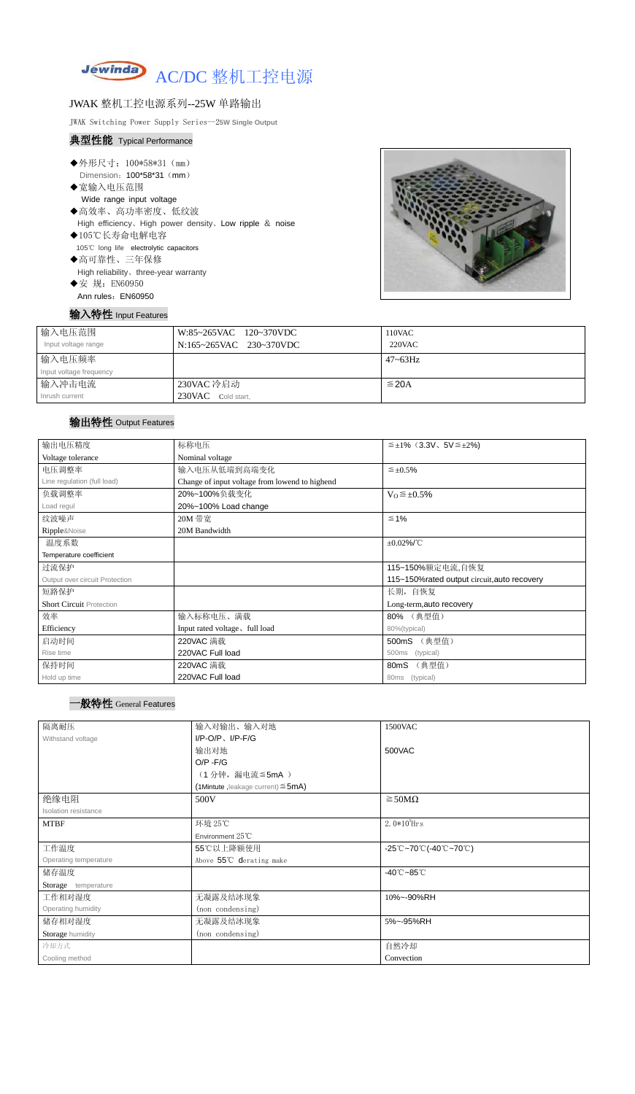

## JWAK 整机工控电源系列--25W 单路输出

JWAK Switching Power Supply Series--2**5W Single Output**

### 典型性能 Typical Performance

- ◆外形尺寸: 100\*58\*31 (mm) Dimension: 100\*58\*31 (mm)
- ◆宽输入电压范围 Wide range input voltage
- ◆高效率、高功率密度、低纹波 High efficiency、High power density、Low ripple & noise
- ◆105℃长寿命电解电容 105℃ long life electrolytic capacitors ◆高可靠性、三年保修
- High reliability、three-year warranty
- ◆安 规: EN60950 Ann rules: EN60950



# 输入特性 Input Features

| 输入电压范围<br>Input voltage range     | W:85~265VAC 120~370VDC<br>N:165~265VAC 230~370VDC | 110VAC<br>$220$ VAC |
|-----------------------------------|---------------------------------------------------|---------------------|
| 输入电压频率<br>Input voltage frequency |                                                   | $47 - 63$ Hz        |
| 输入冲击电流<br>Inrush current          | 230VAC 冷启动<br>230VAC<br>Cold start,               | $\leq$ 20A          |

# 输出特性 Output Features

# 一般特性 General Features

| 输出电压精度                          | 标称电压                                           | $\leq \pm 1\%$ (3.3V, 5V $\leq \pm 2\%$ ) |  |  |
|---------------------------------|------------------------------------------------|-------------------------------------------|--|--|
| Voltage tolerance               | Nominal voltage                                |                                           |  |  |
| 电压调整率                           | 输入电压从低端到高端变化                                   | $\leq \pm 0.5\%$                          |  |  |
| Line regulation (full load)     | Change of input voltage from lowend to highend |                                           |  |  |
| 负载调整率                           | 20%~100%负载变化<br>$V_0 \leq \pm 0.5\%$           |                                           |  |  |
| Load regul                      | 20%~100% Load change                           |                                           |  |  |
| 纹波噪声                            | 20M 带宽                                         | $\leq 1\%$                                |  |  |
| Ripple&Noise                    | 20M Bandwidth                                  |                                           |  |  |
| 温度系数                            | $\pm 0.02\%$ /°C                               |                                           |  |  |
| Temperature coefficient         |                                                |                                           |  |  |
| 过流保护                            | 115~150%额定电流,自恢复                               |                                           |  |  |
| Output over circuit Protection  | 115~150% rated output circuit, auto recovery   |                                           |  |  |
| 短路保护                            | 长期, 自恢复                                        |                                           |  |  |
| <b>Short Circuit Protection</b> |                                                | Long-term, auto recovery                  |  |  |
| 效率                              | 输入标称电压、满载                                      | 80% (典型值)                                 |  |  |
| Efficiency                      | Input rated voltage, full load                 | 80%(typical)                              |  |  |
| 启动时间                            | 220VAC 满载                                      | (典型值)<br>500mS                            |  |  |
| Rise time                       | 220VAC Full load                               | 500ms (typical)                           |  |  |
| 保持时间                            | 220VAC 满载                                      | (典型值)<br>80mS                             |  |  |
| Hold up time                    | 220VAC Full load                               | 80ms (typical)                            |  |  |

| 隔离耐压                  | 输入对输出、输入对地<br>1500VAC                   |                                                                                       |  |
|-----------------------|-----------------------------------------|---------------------------------------------------------------------------------------|--|
| Withstand voltage     | $I/P-O/P$ , $I/P-F/G$                   |                                                                                       |  |
|                       | 输出对地                                    | 500VAC                                                                                |  |
|                       | $O/P - F/G$                             |                                                                                       |  |
|                       | (1分钟,漏电流≦5mA)                           |                                                                                       |  |
|                       | (1Mintute, leakage current) $\leq$ 5mA) |                                                                                       |  |
| 绝缘电阻                  | 500V                                    | $\geq$ 50M $\Omega$                                                                   |  |
| Isolation resistance  |                                         |                                                                                       |  |
| <b>MTBF</b>           | 环境 25℃                                  | 2. $0*10^5$ Hrs                                                                       |  |
|                       | Environment $25^{\circ}$ C              |                                                                                       |  |
| 工作温度                  | 55℃以上降额使用                               | $-25^{\circ}\text{C}-70^{\circ}\text{C}$ (-40 $^{\circ}\text{C}-70^{\circ}\text{C}$ ) |  |
| Operating temperature | Above 55℃ derating make                 |                                                                                       |  |
| 储存温度                  |                                         | $-40^{\circ}$ C $-85^{\circ}$ C                                                       |  |
| Storage temperature   |                                         |                                                                                       |  |
| 工作相对湿度                | 无凝露及结冰现象                                | 10%~-90%RH                                                                            |  |
| Operating humidity    | (non condensing)                        |                                                                                       |  |
| 储存相对湿度                | 无凝露及结冰现象                                | 5%~-95%RH                                                                             |  |
| Storage humidity      | (non condensing)                        |                                                                                       |  |
| 冷却方式                  |                                         | 自然冷却                                                                                  |  |
| Cooling method        |                                         | Convection                                                                            |  |